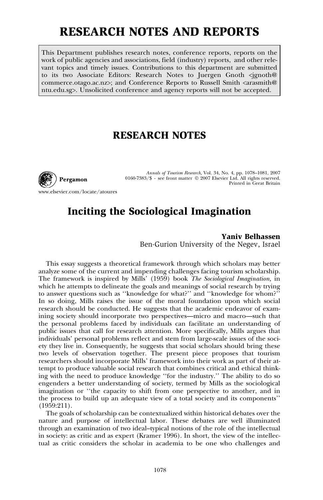# RESEARCH NOTES AND REPORTS

This Department publishes research notes, conference reports, reports on the work of public agencies and associations, field (industry) reports, and other relevant topics and timely issues. Contributions to this department are submitted to its two Associate Editors: Research Notes to Juergen Gnoth <jgnoth@ commerce.otago.ac.nz>; and Conference Reports to Russell Smith <arasmith@ ntu.edu.sg>. Unsolicited conference and agency reports will not be accepted.

### RESEARCH NOTES



Annals of Tourism Research, Vol. 34, No. 4, pp. 1078–1081, 2007 0160-7383/\$ - see front matter © 2007 Elsevier Ltd. All rights reserved. Printed in Great Britain

#### www.elsevier.com/locate/atoures

### Inciting the Sociological Imagination

Yaniv Belhassen Ben-Gurion University of the Negev, Israel

This essay suggests a theoretical framework through which scholars may better analyze some of the current and impending challenges facing tourism scholarship. The framework is inspired by Mills' (1959) book The Sociological Imagination, in which he attempts to delineate the goals and meanings of social research by trying to answer questions such as ''knowledge for what?'' and ''knowledge for whom?'' In so doing, Mills raises the issue of the moral foundation upon which social research should be conducted. He suggests that the academic endeavor of examining society should incorporate two perspectives—micro and macro—such that the personal problems faced by individuals can facilitate an understanding of public issues that call for research attention. More specifically, Mills argues that individuals' personal problems reflect and stem from large-scale issues of the society they live in. Consequently, he suggests that social scholars should bring these two levels of observation together. The present piece proposes that tourism researchers should incorporate Mills' framework into their work as part of their attempt to produce valuable social research that combines critical and ethical thinking with the need to produce knowledge ''for the industry.'' The ability to do so engenders a better understanding of society, termed by Mills as the sociological imagination or ''the capacity to shift from one perspective to another, and in the process to build up an adequate view of a total society and its components'' (1959:211).

The goals of scholarship can be contextualized within historical debates over the nature and purpose of intellectual labor. These debates are well illuminated through an examination of two ideal–typical notions of the role of the intellectual in society: as critic and as expert (Kramer 1996). In short, the view of the intellectual as critic considers the scholar in academia to be one who challenges and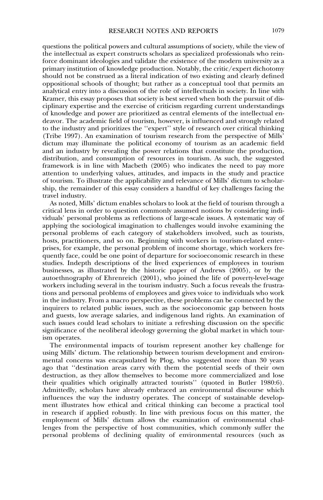questions the political powers and cultural assumptions of society, while the view of the intellectual as expert constructs scholars as specialized professionals who reinforce dominant ideologies and validate the existence of the modern university as a primary institution of knowledge production. Notably, the critic/expert dichotomy should not be construed as a literal indication of two existing and clearly defined oppositional schools of thought; but rather as a conceptual tool that permits an analytical entry into a discussion of the role of intellectuals in society. In line with Kramer, this essay proposes that society is best served when both the pursuit of disciplinary expertise and the exercise of criticism regarding current understandings of knowledge and power are prioritized as central elements of the intellectual endeavor. The academic field of tourism, however, is influenced and strongly related to the industry and prioritizes the ''expert'' style of research over critical thinking (Tribe 1997). An examination of tourism research from the perspective of Mills' dictum may illuminate the political economy of tourism as an academic field and an industry by revealing the power relations that constitute the production, distribution, and consumption of resources in tourism. As such, the suggested framework is in line with Macbeth (2005) who indicates the need to pay more attention to underlying values, attitudes, and impacts in the study and practice of tourism. To illustrate the applicability and relevance of Mills' dictum to scholarship, the remainder of this essay considers a handful of key challenges facing the travel industry.

As noted, Mills' dictum enables scholars to look at the field of tourism through a critical lens in order to question commonly assumed notions by considering individuals' personal problems as reflections of large-scale issues. A systematic way of applying the sociological imagination to challenges would involve examining the personal problems of each category of stakeholders involved, such as tourists, hosts, practitioners, and so on. Beginning with workers in tourism-related enterprises, for example, the personal problem of income shortage, which workers frequently face, could be one point of departure for socioeconomic research in these studies. Indepth descriptions of the lived experiences of employees in tourism businesses, as illustrated by the historic paper of Andrews (2005), or by the autoethnography of Ehrenreich (2001), who joined the life of poverty-level-wage workers including several in the tourism industry. Such a focus reveals the frustrations and personal problems of employees and gives voice to individuals who work in the industry. From a macro perspective, these problems can be connected by the inquirers to related public issues, such as the socioeconomic gap between hosts and guests, low average salaries, and indigenous land rights. An examination of such issues could lead scholars to initiate a refreshing discussion on the specific significance of the neoliberal ideology governing the global market in which tourism operates.

The environmental impacts of tourism represent another key challenge for using Mills' dictum. The relationship between tourism development and environmental concerns was encapsulated by Plog, who suggested more than 30 years ago that ''destination areas carry with them the potential seeds of their own destruction, as they allow themselves to become more commercialized and lose their qualities which originally attracted tourists'' (quoted in Butler 1980:6). Admittedly, scholars have already embraced an environmental discourse which influences the way the industry operates. The concept of sustainable development illustrates how ethical and critical thinking can become a practical tool in research if applied robustly. In line with previous focus on this matter, the employment of Mills' dictum allows the examination of environmental challenges from the perspective of host communities, which commonly suffer the personal problems of declining quality of environmental resources (such as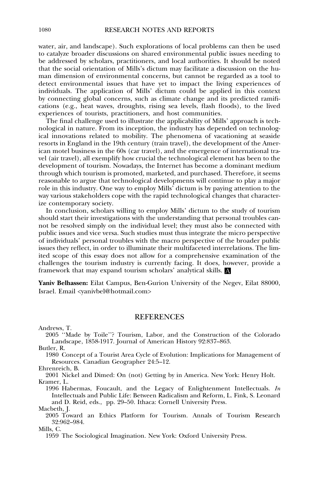water, air, and landscape). Such explorations of local problems can then be used to catalyze broader discussions on shared environmental public issues needing to be addressed by scholars, practitioners, and local authorities. It should be noted that the social orientation of Mills's dictum may facilitate a discussion on the human dimension of environmental concerns, but cannot be regarded as a tool to detect environmental issues that have yet to impact the living experiences of individuals. The application of Mills' dictum could be applied in this context by connecting global concerns, such as climate change and its predicted ramifications (e.g., heat waves, droughts, rising sea levels, flash floods), to the lived experiences of tourists, practitioners, and host communities.

The final challenge used to illustrate the applicability of Mills' approach is technological in nature. From its inception, the industry has depended on technological innovations related to mobility. The phenomena of vacationing at seaside resorts in England in the 19th century (train travel), the development of the American motel business in the 60s (car travel), and the emergence of international travel (air travel), all exemplify how crucial the technological element has been to the development of tourism. Nowadays, the Internet has become a dominant medium through which tourism is promoted, marketed, and purchased. Therefore, it seems reasonable to argue that technological developments will continue to play a major role in this industry. One way to employ Mills' dictum is by paying attention to the way various stakeholders cope with the rapid technological changes that characterize contemporary society.

In conclusion, scholars willing to employ Mills' dictum to the study of tourism should start their investigations with the understanding that personal troubles cannot be resolved simply on the individual level; they must also be connected with public issues and vice versa. Such studies must thus integrate the micro perspective of individuals' personal troubles with the macro perspective of the broader public issues they reflect, in order to illuminate their multifaceted interrelations. The limited scope of this essay does not allow for a comprehensive examination of the challenges the tourism industry is currently facing. It does, however, provide a framework that may expand tourism scholars' analytical skills.

Yaniv Belhassen: Eilat Campus, Ben-Gurion University of the Negev, Eilat 88000, Israel. Email <yanivbel@hotmail.com>

#### **REFERENCES**

Andrews, T.

2005 ''Made by Toile''? Tourism, Labor, and the Construction of the Colorado Landscape, 1858-1917. Journal of American History 92:837–863.

Butler, R.

1980 Concept of a Tourist Area Cycle of Evolution: Implications for Management of Resources. Canadian Geographer 24:5–12.

Ehrenreich, B.

2001 Nickel and Dimed: On (not) Getting by in America. New York: Henry Holt. Kramer, L.

1996 Habermas, Foucault, and the Legacy of Enlightenment Intellectuals. In Intellectuals and Public Life: Between Radicalism and Reform, L. Fink, S. Leonard and D. Reid, eds., pp. 29–50. Ithaca: Cornell University Press. Macbeth, J.

2005 Toward an Ethics Platform for Tourism. Annals of Tourism Research 32:962–984.

Mills, C.

1959 The Sociological Imagination. New York: Oxford University Press.